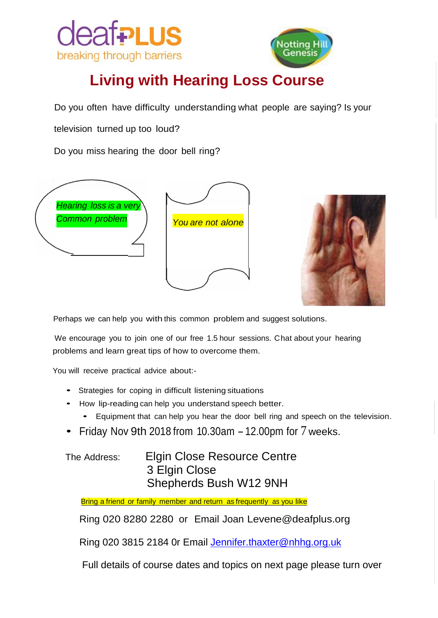



## **Living with Hearing Loss Course**

Do you often have difficulty understanding what people are saying? Is your

television turned up too loud?

Do you miss hearing the door bell ring?



Perhaps we can help you with this common problem and suggest solutions.

We encourage you to join one of our free 1.5 hour sessions. Chat about your hearing problems and learn great tips of how to overcome them.

You will receive practical advice about:-

- Strategies for coping in difficult listening situations
- How lip-reading can help you understand speech better.
	- Equipment that can help you hear the door bell ring and speech on the television.
- Friday Nov 9th 2018 from 10.30am  $-12.00$ pm for  $7$  weeks.

The Address: Elgin Close Resource Centre 3 Elgin Close Shepherds Bush W12 9NH

Bring a friend or family member and return as frequently as you like

Ring 020 8280 2280 or Email Joan [Levene@deafplus.org](mailto:Levene@deafplus.org)

Ring 020 3815 2184 0r Email [Jennifer.thaxter@nhhg.org.uk](mailto:Jennifer.thaxter@nhhg.org.uk)

Full details of course dates and topics on next page please turn over